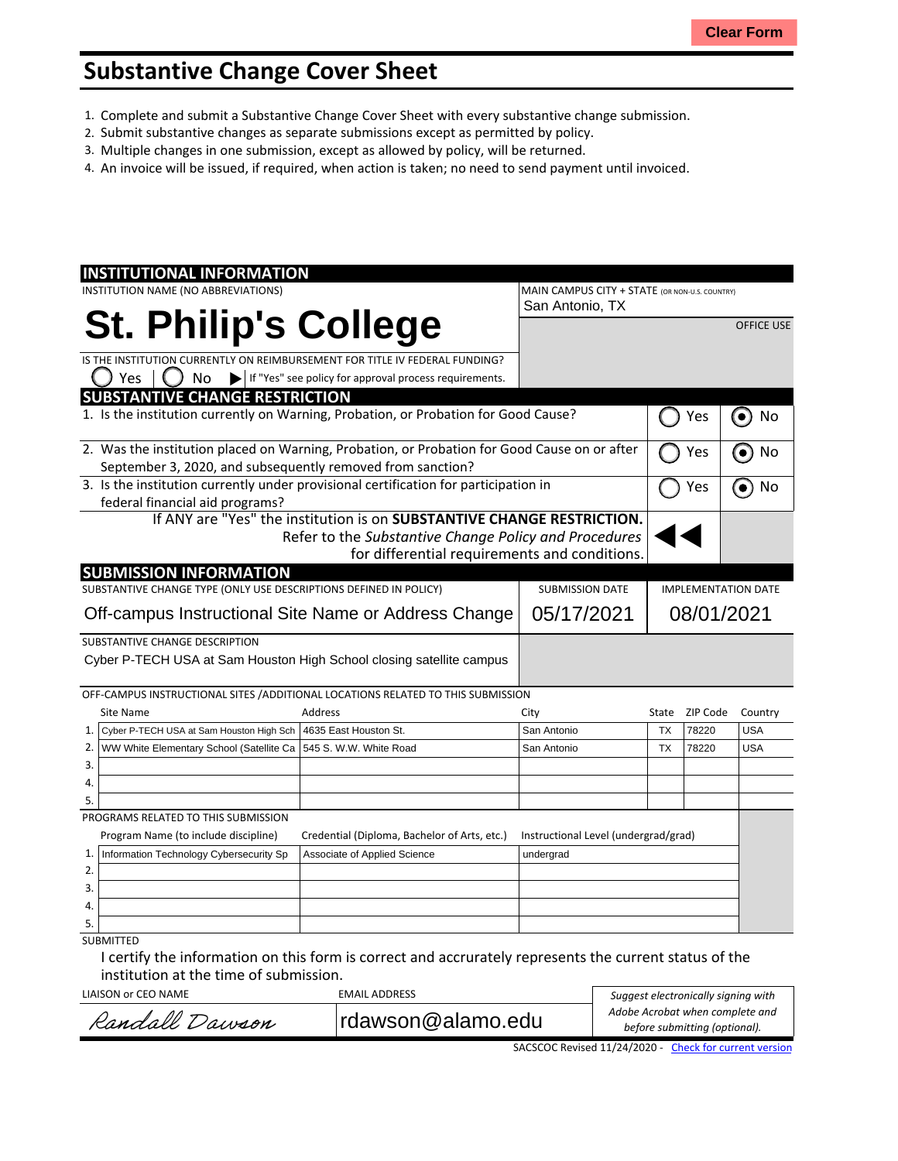## **Substantive Change Cover Sheet**

- 1. Complete and submit a Substantive Change Cover Sheet with every substantive change submission.
- 2. Submit substantive changes as separate submissions except as permitted by policy.
- 3. Multiple changes in one submission, except as allowed by policy, will be returned.
- 4. An invoice will be issued, if required, when action is taken; no need to send payment until invoiced.

| <b>INSTITUTIONAL INFORMATION</b>                                                                                                                           |                                                                         |                                                                                                                                                                                  |                                      |                                                |          |                   |  |
|------------------------------------------------------------------------------------------------------------------------------------------------------------|-------------------------------------------------------------------------|----------------------------------------------------------------------------------------------------------------------------------------------------------------------------------|--------------------------------------|------------------------------------------------|----------|-------------------|--|
| INSTITUTION NAME (NO ABBREVIATIONS)                                                                                                                        |                                                                         |                                                                                                                                                                                  | San Antonio, TX                      | MAIN CAMPUS CITY + STATE (OR NON-U.S. COUNTRY) |          |                   |  |
|                                                                                                                                                            |                                                                         | <b>St. Philip's College</b>                                                                                                                                                      |                                      |                                                |          | <b>OFFICE USE</b> |  |
|                                                                                                                                                            |                                                                         | IS THE INSTITUTION CURRENTLY ON REIMBURSEMENT FOR TITLE IV FEDERAL FUNDING?                                                                                                      |                                      |                                                |          |                   |  |
| Yes                                                                                                                                                        | No<br>▶                                                                 | If "Yes" see policy for approval process requirements.                                                                                                                           |                                      |                                                |          |                   |  |
| <b>SUBSTANTIVE CHANGE RESTRICTION</b>                                                                                                                      |                                                                         |                                                                                                                                                                                  |                                      |                                                |          |                   |  |
| 1. Is the institution currently on Warning, Probation, or Probation for Good Cause?                                                                        |                                                                         |                                                                                                                                                                                  | Yes                                  | No<br>$\bullet$                                |          |                   |  |
| 2. Was the institution placed on Warning, Probation, or Probation for Good Cause on or after<br>September 3, 2020, and subsequently removed from sanction? |                                                                         |                                                                                                                                                                                  |                                      |                                                | Yes      | No                |  |
| 3. Is the institution currently under provisional certification for participation in                                                                       |                                                                         |                                                                                                                                                                                  | Yes                                  | No                                             |          |                   |  |
| federal financial aid programs?                                                                                                                            |                                                                         |                                                                                                                                                                                  |                                      |                                                |          |                   |  |
|                                                                                                                                                            |                                                                         | If ANY are "Yes" the institution is on SUBSTANTIVE CHANGE RESTRICTION.<br>Refer to the Substantive Change Policy and Procedures<br>for differential requirements and conditions. |                                      |                                                |          |                   |  |
| <b>SUBMISSION INFORMATION</b>                                                                                                                              |                                                                         |                                                                                                                                                                                  |                                      |                                                |          |                   |  |
| SUBSTANTIVE CHANGE TYPE (ONLY USE DESCRIPTIONS DEFINED IN POLICY)                                                                                          |                                                                         |                                                                                                                                                                                  | <b>SUBMISSION DATE</b>               | <b>IMPLEMENTATION DATE</b>                     |          |                   |  |
| Off-campus Instructional Site Name or Address Change                                                                                                       |                                                                         |                                                                                                                                                                                  | 05/17/2021                           | 08/01/2021                                     |          |                   |  |
| SUBSTANTIVE CHANGE DESCRIPTION                                                                                                                             |                                                                         | Cyber P-TECH USA at Sam Houston High School closing satellite campus                                                                                                             |                                      |                                                |          |                   |  |
|                                                                                                                                                            |                                                                         | OFF-CAMPUS INSTRUCTIONAL SITES / ADDITIONAL LOCATIONS RELATED TO THIS SUBMISSION                                                                                                 |                                      |                                                |          |                   |  |
| <b>Site Name</b>                                                                                                                                           |                                                                         | Address                                                                                                                                                                          | City                                 | State                                          | ZIP Code | Country           |  |
| 1.<br>Cyber P-TECH USA at Sam Houston High Sch                                                                                                             |                                                                         | 4635 East Houston St.                                                                                                                                                            | San Antonio                          | <b>TX</b>                                      | 78220    | <b>USA</b>        |  |
| 2.<br>WW White Elementary School (Satellite Ca                                                                                                             |                                                                         | 545 S. W.W. White Road                                                                                                                                                           | San Antonio                          | <b>TX</b>                                      | 78220    | <b>USA</b>        |  |
| 3.                                                                                                                                                         |                                                                         |                                                                                                                                                                                  |                                      |                                                |          |                   |  |
| 4.                                                                                                                                                         |                                                                         |                                                                                                                                                                                  |                                      |                                                |          |                   |  |
| 5.                                                                                                                                                         |                                                                         |                                                                                                                                                                                  |                                      |                                                |          |                   |  |
| PROGRAMS RELATED TO THIS SUBMISSION                                                                                                                        |                                                                         |                                                                                                                                                                                  |                                      |                                                |          |                   |  |
| Program Name (to include discipline)                                                                                                                       |                                                                         | Credential (Diploma, Bachelor of Arts, etc.)                                                                                                                                     | Instructional Level (undergrad/grad) |                                                |          |                   |  |
| 1.                                                                                                                                                         | Information Technology Cybersecurity Sp<br>Associate of Applied Science |                                                                                                                                                                                  | undergrad                            |                                                |          |                   |  |
| 2.                                                                                                                                                         |                                                                         |                                                                                                                                                                                  |                                      |                                                |          |                   |  |
| 3.                                                                                                                                                         |                                                                         |                                                                                                                                                                                  |                                      |                                                |          |                   |  |
| 4.                                                                                                                                                         |                                                                         |                                                                                                                                                                                  |                                      |                                                |          |                   |  |
| 5.                                                                                                                                                         |                                                                         |                                                                                                                                                                                  |                                      |                                                |          |                   |  |
|                                                                                                                                                            |                                                                         |                                                                                                                                                                                  |                                      |                                                |          |                   |  |

I certify the information on this form is correct and accrurately represents the current status of the institution at the time of submission.

LIAISON or CEO NAME EMAIL ADDRESS

| LIAISON or CEO NAME | EMAIL ADDRESS     | Suggest electronically signing with                              |  |  |
|---------------------|-------------------|------------------------------------------------------------------|--|--|
| Randall Dawson      | rdawson@alamo.edu | Adobe Acrobat when complete and<br>before submitting (optional). |  |  |
|                     |                   |                                                                  |  |  |

SACSCOC Revised 11/24/2020 - Check for [current](http://sacscoc.org/app/uploads/2020/01/Substantive_Change_Cover_-Sheet.pdf) version

 $\Gamma$